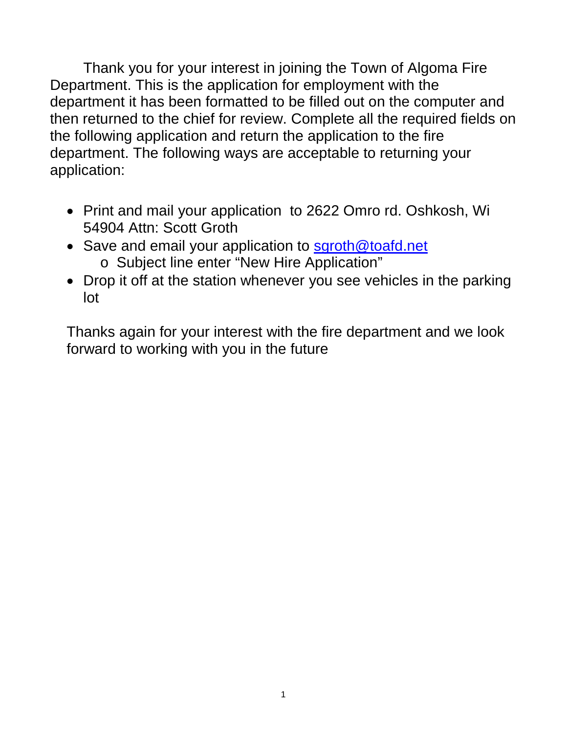Thank you for your interest in joining the Town of Algoma Fire Department. This is the application for employment with the department it has been formatted to be filled out on the computer and then returned to the chief for review. Complete all the required fields on the following application and return the application to the fire department. The following ways are acceptable to returning your application:

- Print and mail your application to 2622 Omro rd. Oshkosh, Wi 54904 Attn: Scott Groth
- Save and email your application to [sgroth@toafd.net](mailto:sgroth@toafd.net)
	- o Subject line enter "New Hire Application"
- Drop it off at the station whenever you see vehicles in the parking lot

Thanks again for your interest with the fire department and we look forward to working with you in the future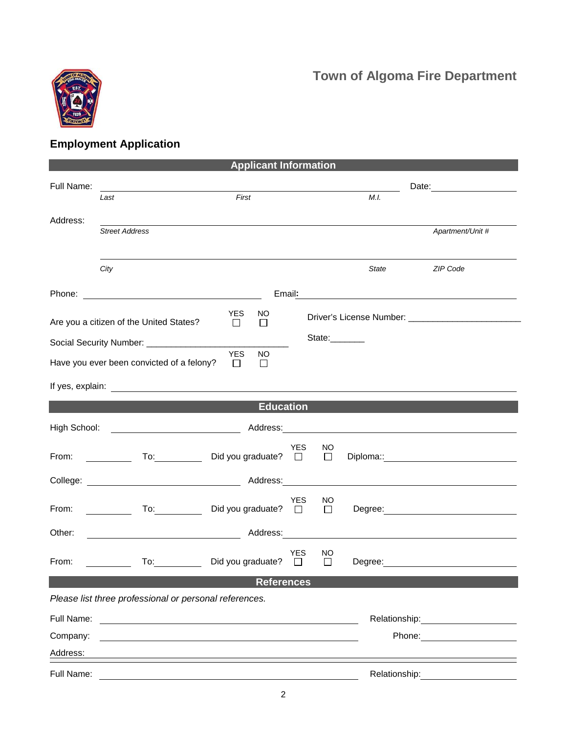## **Town of Algoma Fire Department**



## **Employment Application**

| <b>Applicant Information</b> |                                                                                                                                                                                                                                |                                                                                                               |                      |               |       |                                                |  |  |
|------------------------------|--------------------------------------------------------------------------------------------------------------------------------------------------------------------------------------------------------------------------------|---------------------------------------------------------------------------------------------------------------|----------------------|---------------|-------|------------------------------------------------|--|--|
| Full Name:                   | Last                                                                                                                                                                                                                           | First                                                                                                         |                      |               | M.I.  |                                                |  |  |
|                              |                                                                                                                                                                                                                                |                                                                                                               |                      |               |       |                                                |  |  |
| Address:                     | <b>Street Address</b>                                                                                                                                                                                                          |                                                                                                               |                      |               |       | Apartment/Unit #                               |  |  |
|                              |                                                                                                                                                                                                                                |                                                                                                               |                      |               |       |                                                |  |  |
|                              | City                                                                                                                                                                                                                           |                                                                                                               |                      |               | State | ZIP Code                                       |  |  |
|                              |                                                                                                                                                                                                                                | Email:                                                                                                        |                      |               |       | <u> 1989 - Johann Stein, marwolaethau a bh</u> |  |  |
|                              | Are you a citizen of the United States?                                                                                                                                                                                        | <b>YES</b><br>NO.<br>□<br>$\Box$                                                                              |                      |               |       |                                                |  |  |
|                              | State:_______<br>Social Security Number: _______________                                                                                                                                                                       |                                                                                                               |                      |               |       |                                                |  |  |
|                              | Have you ever been convicted of a felony?                                                                                                                                                                                      | <b>YES</b><br><b>NO</b><br>П<br>$\perp$                                                                       |                      |               |       |                                                |  |  |
|                              |                                                                                                                                                                                                                                |                                                                                                               |                      |               |       |                                                |  |  |
| <b>Education</b>             |                                                                                                                                                                                                                                |                                                                                                               |                      |               |       |                                                |  |  |
| High School:                 |                                                                                                                                                                                                                                | Address: Andreas Address and American American American American American American American American American |                      |               |       |                                                |  |  |
| From:                        |                                                                                                                                                                                                                                | Did you graduate? $\square$                                                                                   | <b>YES</b>           | NO.<br>$\Box$ |       |                                                |  |  |
|                              |                                                                                                                                                                                                                                |                                                                                                               |                      |               |       |                                                |  |  |
| From:                        | To: the contract of the contract of the contract of the contract of the contract of the contract of the contract of the contract of the contract of the contract of the contract of the contract of the contract of the contra | Did you graduate?                                                                                             | <b>YES</b><br>$\Box$ | NO<br>$\Box$  |       |                                                |  |  |
| Other:                       |                                                                                                                                                                                                                                |                                                                                                               |                      |               |       |                                                |  |  |
| From:                        | To: and the state of the state of the state of the state of the state of the state of the state of the state o                                                                                                                 | Did you graduate?                                                                                             | YES<br>$\Box$        | NO<br>$\Box$  |       | Degree: <u>__________________________</u>      |  |  |
| <b>References</b>            |                                                                                                                                                                                                                                |                                                                                                               |                      |               |       |                                                |  |  |
|                              | Please list three professional or personal references.                                                                                                                                                                         |                                                                                                               |                      |               |       |                                                |  |  |
| Full Name:                   |                                                                                                                                                                                                                                |                                                                                                               |                      |               |       |                                                |  |  |
| Company:                     |                                                                                                                                                                                                                                |                                                                                                               |                      |               |       | Phone:                                         |  |  |
| Address:                     |                                                                                                                                                                                                                                |                                                                                                               |                      |               |       |                                                |  |  |
| Full Name:                   | <u> 1989 - Johann Barbara, martxa alemaniar amerikan a</u>                                                                                                                                                                     |                                                                                                               |                      |               |       |                                                |  |  |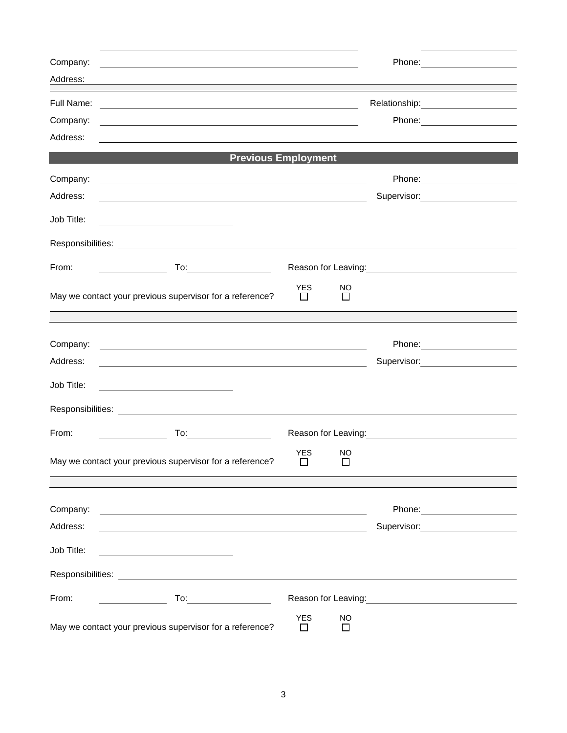| Company:                                                                                                                           |                                                                                                                                                                                                                                        |  |
|------------------------------------------------------------------------------------------------------------------------------------|----------------------------------------------------------------------------------------------------------------------------------------------------------------------------------------------------------------------------------------|--|
| Address:                                                                                                                           | <u> 1989 - Johann Barn, amerikansk politiker (d. 1989)</u>                                                                                                                                                                             |  |
| Full Name:                                                                                                                         | and the control of the control of the control of the control of the control of the control of the control of the                                                                                                                       |  |
| Company:                                                                                                                           | <u> 1980 - Johann Barbara, martxa amerikan personal (h. 1980).</u>                                                                                                                                                                     |  |
| Address:                                                                                                                           |                                                                                                                                                                                                                                        |  |
|                                                                                                                                    | <b>Previous Employment</b>                                                                                                                                                                                                             |  |
| Company:                                                                                                                           |                                                                                                                                                                                                                                        |  |
| Address:                                                                                                                           | <u> 1989 - Johann John Stone, meilich aus der Stone († 1989)</u><br>Supervisor: Victor Communication Communication                                                                                                                     |  |
| Job Title:<br><u> 1989 - Johann Barbara, martin amerikan basar dan basa dan basar dan basa dalam basa dalam basa dalam basa da</u> |                                                                                                                                                                                                                                        |  |
|                                                                                                                                    |                                                                                                                                                                                                                                        |  |
| From:                                                                                                                              | Reason for Leaving:<br><u>Next and the manufacture of the set of the set of the set of the set of the set of the set of the set of the set of the set of the set of the set of the set of the set of the set of the set of the set</u> |  |
| May we contact your previous supervisor for a reference?                                                                           | <b>YES</b><br>NO<br>$\Box$<br>$\Box$                                                                                                                                                                                                   |  |
|                                                                                                                                    |                                                                                                                                                                                                                                        |  |
| Company:                                                                                                                           | <u> 1989 - Johann Harry Barn, mars ar breithinn ar breithinn ar breithinn ar breithinn ar breithinn ar breithinn </u>                                                                                                                  |  |
| Address:                                                                                                                           | Supervisor: 2000<br><u> 1989 - Johann Barn, mars ar breithinn ar chuid ann an t-Alban ann an t-Alban ann an t-Alban ann an t-Alban a</u>                                                                                               |  |
| Job Title:                                                                                                                         |                                                                                                                                                                                                                                        |  |
|                                                                                                                                    |                                                                                                                                                                                                                                        |  |
| From:<br>$To: \begin{tabular}{ c c c } \hline \quad \quad & \quad \quad & \quad \quad \\ \hline \end{tabular}$                     |                                                                                                                                                                                                                                        |  |
|                                                                                                                                    | <b>YES</b><br>NO                                                                                                                                                                                                                       |  |
| May we contact your previous supervisor for a reference?                                                                           | П<br>$\mathsf{L}$                                                                                                                                                                                                                      |  |
|                                                                                                                                    |                                                                                                                                                                                                                                        |  |
| Company:                                                                                                                           | <u> 2008 - An Dùbhlachd ann an Dùbhlachd ann an Dùbhlachd ann an Dùbhlachd ann an Dùbhlachd ann an Dùbhlachd ann a</u>                                                                                                                 |  |
| Address:                                                                                                                           | Supervisor: ___________________<br><u> 1989 - Johann Stoff, deutscher Stoffen und der Stoffen und der Stoffen und der Stoffen und der Stoffen und der</u>                                                                              |  |
| Job Title:                                                                                                                         |                                                                                                                                                                                                                                        |  |
| <u> 1989 - Johann Barbara, martxa alemaniar a</u>                                                                                  |                                                                                                                                                                                                                                        |  |
|                                                                                                                                    |                                                                                                                                                                                                                                        |  |
| From:                                                                                                                              | Reason for Leaving:<br><u>Neason</u> for Leaving:                                                                                                                                                                                      |  |
| May we contact your previous supervisor for a reference?                                                                           | <b>YES</b><br><b>NO</b><br>$\perp$<br>$\perp$                                                                                                                                                                                          |  |